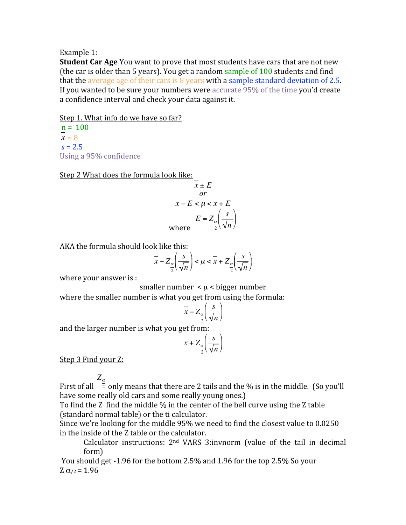## Example
1:

**Student Car Age** You want to prove that most students have cars that are not new (the
car
is
older
than
5
years).
You
get
a
random
sample
of
100
students
and
find that the average age of their cars is  $8$  years with a sample standard deviation of  $2.5$ . If you wanted to be sure your numbers were accurate 95% of the time you'd create a
confidence
interval
and
check
your
data
against
it.

Step 1. What info do we have so far?

 $n = 100$  $x = 8$  $s = 2.5$ Using
a
95%
confidence

Step 2 What does the formula look like:

$$
x \pm E
$$
  
\nor  
\n
$$
x - E < \mu < x + E
$$
  
\n
$$
E = Z_{\frac{\alpha}{2}} \left( \frac{s}{\sqrt{n}} \right)
$$
  
\nwhere

AKA
the
formula
should
look
like
this:

$$
\overline{x} - Z_{\frac{\alpha}{2}}\left(\frac{s}{\sqrt{n}}\right) < \mu < \overline{x} + Z_{\frac{\alpha}{2}}\left(\frac{s}{\sqrt{n}}\right)
$$

where your answer is :

smaller number  $\lt \mu \lt b$ igger number

 $\ddot{\phantom{0}}$ where the smaller number is what you get from using the formula:

$$
\overline{x} - Z_{\frac{\alpha}{2}} \left( \frac{s}{\sqrt{n}} \right)
$$

and
the
larger
number
is
what
you
get
from:

$$
\overline{x} + Z_{\alpha} \left( \frac{s}{\sqrt{n}} \right)
$$

Step 3 Find your Z:

*Z*<sup>α</sup>

First of all  $\frac{a}{2}$  only means that there are 2 tails and the % is in the middle. (So you'll have some really old cars and some really young ones.)

To find the Z find the middle % in the center of the bell curve using the Z table (standard
normal
table)
or
the
ti
calculator.

€ Since
we're
looking
for
the
middle
95%
we
need
to
find
the
closest
value
to
0.0250 in
the
inside
of
the
Z
table
or
the
calculator.

Calculator instructions:  $2<sup>nd</sup> VARS 3:invnorm$  (value of the tail in decimal form)

You should get -1.96 for the bottom 2.5% and 1.96 for the top 2.5% So your Z  $α_{/2} = 1.96$